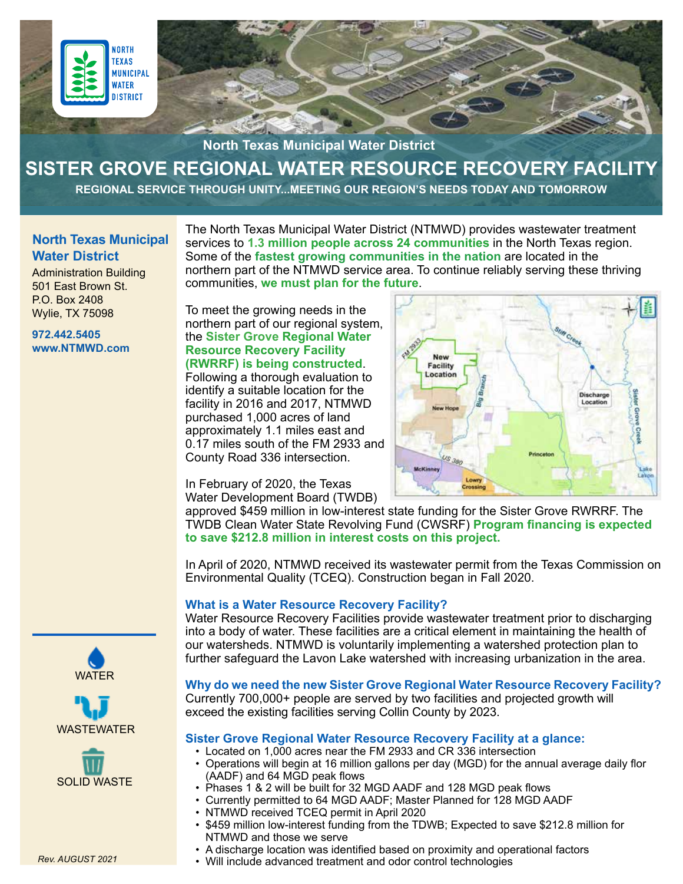

# **SISTER GROVE REGIONAL WATER RESOURCE RECOVERY FACILITY**

**REGIONAL SERVICE THROUGH UNITY...MEETING OUR REGION'S NEEDS TODAY AND TOMORROW**

# **North Texas Municipal Water District**

Administration Building 501 East Brown St. P.O. Box 2408 Wylie, TX 75098

**972.442.5405 [www.NTMWD.com](http://www.NTMWD.com)** The North Texas Municipal Water District (NTMWD) provides wastewater treatment services to **1.3 million people across 24 communities** in the North Texas region. Some of the **fastest growing communities in the nation** are located in the northern part of the NTMWD service area. To continue reliably serving these thriving communities, **we must plan for the future**.

To meet the growing needs in the northern part of our regional system, the **Sister Grove Regional Water Resource Recovery Facility (RWRRF) is being constructed**. Following a thorough evaluation to identify a suitable location for the facility in 2016 and 2017, NTMWD purchased 1,000 acres of land approximately 1.1 miles east and 0.17 miles south of the FM 2933 and County Road 336 intersection.



In February of 2020, the Texas Water Development Board (TWDB)

approved \$459 million in low-interest state funding for the Sister Grove RWRRF. The TWDB Clean Water State Revolving Fund (CWSRF) **Program financing is expected to save \$212.8 million in interest costs on this project.**

In April of 2020, NTMWD received its wastewater permit from the Texas Commission on Environmental Quality (TCEQ). Construction began in Fall 2020.

#### **What is a Water Resource Recovery Facility?**

Water Resource Recovery Facilities provide wastewater treatment prior to discharging into a body of water. These facilities are a critical element in maintaining the health of our watersheds. NTMWD is voluntarily implementing a watershed protection plan to further safeguard the Lavon Lake watershed with increasing urbanization in the area.

#### **Why do we need the new Sister Grove Regional Water Resource Recovery Facility?**

Currently 700,000+ people are served by two facilities and projected growth will exceed the existing facilities serving Collin County by 2023.

#### **Sister Grove Regional Water Resource Recovery Facility at a glance:**

- Located on 1,000 acres near the FM 2933 and CR 336 intersection
- Operations will begin at 16 million gallons per day (MGD) for the annual average daily flor (AADF) and 64 MGD peak flows
- Phases 1 & 2 will be built for 32 MGD AADF and 128 MGD peak flows
- Currently permitted to 64 MGD AADF; Master Planned for 128 MGD AADF
- NTMWD received TCEQ permit in April 2020
- \$459 million low-interest funding from the TDWB; Expected to save \$212.8 million for NTMWD and those we serve
- A discharge location was identified based on proximity and operational factors
- Will include advanced treatment and odor control technologies